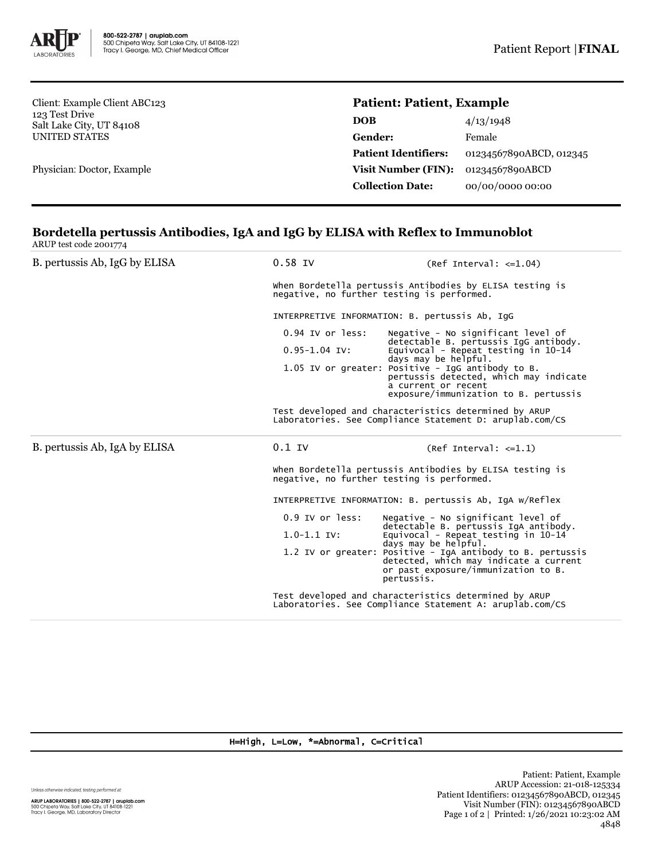

Client: Example Client ABC123 123 Test Drive Salt Lake City, UT 84108 UNITED STATES

Physician: Doctor, Example

## **Patient: Patient, Example**

| <b>DOB</b>                  | 4/13/1948               |
|-----------------------------|-------------------------|
| Gender:                     | Female                  |
| <b>Patient Identifiers:</b> | 01234567890ABCD, 012345 |
| <b>Visit Number (FIN):</b>  | 01234567890ABCD         |
| <b>Collection Date:</b>     | 00/00/0000 00:00        |

## **Bordetella pertussis Antibodies, IgA and IgG by ELISA with Reflex to Immunoblot**  ${\rm ARUP}$  test code  $\tilde{2001774}$

| B. pertussis Ab, IgG by ELISA | $0.58$ IV                                                                                                         | $(Ref Interval: <=1.04)$                                                                                                                                                          |  |  |
|-------------------------------|-------------------------------------------------------------------------------------------------------------------|-----------------------------------------------------------------------------------------------------------------------------------------------------------------------------------|--|--|
|                               | When Bordetella pertussis Antibodies by ELISA testing is<br>negative, no further testing is performed.            |                                                                                                                                                                                   |  |  |
|                               | INTERPRETIVE INFORMATION: B. pertussis Ab, IqG                                                                    |                                                                                                                                                                                   |  |  |
|                               | $0.94$ IV or $less:$                                                                                              | Negative - No significant level of<br>detectable B. pertussis IgG antibody.                                                                                                       |  |  |
|                               | $0.95 - 1.04$ IV:                                                                                                 | Equivocal - Repeat testing in 10-14<br>days may be helpful.                                                                                                                       |  |  |
|                               |                                                                                                                   | 1.05 IV or greater: Positive - IgG antibody to B.<br>pertussis detected, which may indicate<br>a current or recent<br>exposure/immunization to B. pertussis                       |  |  |
|                               | Test developed and characteristics determined by ARUP<br>Laboratories. See Compliance Statement D: aruplab.com/CS |                                                                                                                                                                                   |  |  |
| B. pertussis Ab, IgA by ELISA | $0.1$ IV                                                                                                          | $(Ref Interval: <=1.1)$                                                                                                                                                           |  |  |
|                               | when Bordetella pertussis Antibodies by ELISA testing is<br>negative, no further testing is performed.            |                                                                                                                                                                                   |  |  |
|                               | INTERPRETIVE INFORMATION: B. pertussis Ab, IgA w/Reflex                                                           |                                                                                                                                                                                   |  |  |
|                               |                                                                                                                   |                                                                                                                                                                                   |  |  |
|                               | 0.9 IV or less:                                                                                                   | Negative - No significant level of                                                                                                                                                |  |  |
|                               | $1.0 - 1.1$ IV:                                                                                                   | detectable B. pertussis IgA antibody.<br>Equivocal - Repeat testing in $10-14$                                                                                                    |  |  |
|                               |                                                                                                                   | days may be helpful.<br>1.2 IV or greater: Positive - IgA antibody to B. pertussis<br>detected, which may indicate a current<br>or past exposure/immunization to B.<br>pertussis. |  |  |

## H=High, L=Low, \*=Abnormal, C=Critical

Unless otherwise indicated, testing performed at:

**ARUP LABORATORIES | 800-522-2787 | aruplab.com**<br>500 Chipeta Way, Salt Lake City, UT 84108-1221<br>Tracy I. George, MD, Laboratory Director